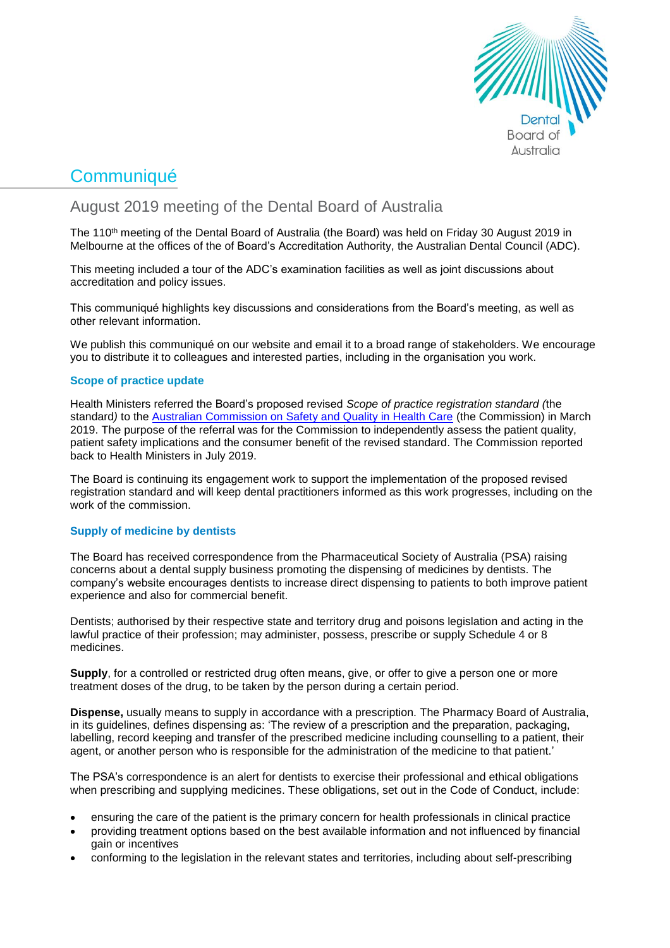

# **Communiqué**

August 2019 meeting of the Dental Board of Australia

The 110<sup>th</sup> meeting of the Dental Board of Australia (the Board) was held on Friday 30 August 2019 in Melbourne at the offices of the of Board's Accreditation Authority, the Australian Dental Council (ADC).

This meeting included a tour of the ADC's examination facilities as well as joint discussions about accreditation and policy issues.

This communiqué highlights key discussions and considerations from the Board's meeting, as well as other relevant information.

We publish this communiqué on our website and email it to a broad range of stakeholders. We encourage you to distribute it to colleagues and interested parties, including in the organisation you work.

# **Scope of practice update**

Health Ministers referred the Board's proposed revised *Scope of practice registration standard (*the standard*)* to the [Australian Commission on Safety and Quality in Health Care](https://www.safetyandquality.gov.au/) (the Commission) in March 2019. The purpose of the referral was for the Commission to independently assess the patient quality, patient safety implications and the consumer benefit of the revised standard. The Commission reported back to Health Ministers in July 2019.

The Board is continuing its engagement work to support the implementation of the proposed revised registration standard and will keep dental practitioners informed as this work progresses, including on the work of the commission.

# **Supply of medicine by dentists**

The Board has received correspondence from the Pharmaceutical Society of Australia (PSA) raising concerns about a dental supply business promoting the dispensing of medicines by dentists. The company's website encourages dentists to increase direct dispensing to patients to both improve patient experience and also for commercial benefit.

Dentists; authorised by their respective state and territory drug and poisons legislation and acting in the lawful practice of their profession; may administer, possess, prescribe or supply Schedule 4 or 8 medicines.

**Supply**, for a controlled or restricted drug often means, give, or offer to give a person one or more treatment doses of the drug, to be taken by the person during a certain period.

**Dispense,** usually means to supply in accordance with a prescription. The Pharmacy Board of Australia, in its guidelines, defines dispensing as: 'The review of a prescription and the preparation, packaging, labelling, record keeping and transfer of the prescribed medicine including counselling to a patient, their agent, or another person who is responsible for the administration of the medicine to that patient.'

The PSA's correspondence is an alert for dentists to exercise their professional and ethical obligations when prescribing and supplying medicines. These obligations, set out in the Code of Conduct, include:

- ensuring the care of the patient is the primary concern for health professionals in clinical practice
- providing treatment options based on the best available information and not influenced by financial gain or incentives
- conforming to the legislation in the relevant states and territories, including about self-prescribing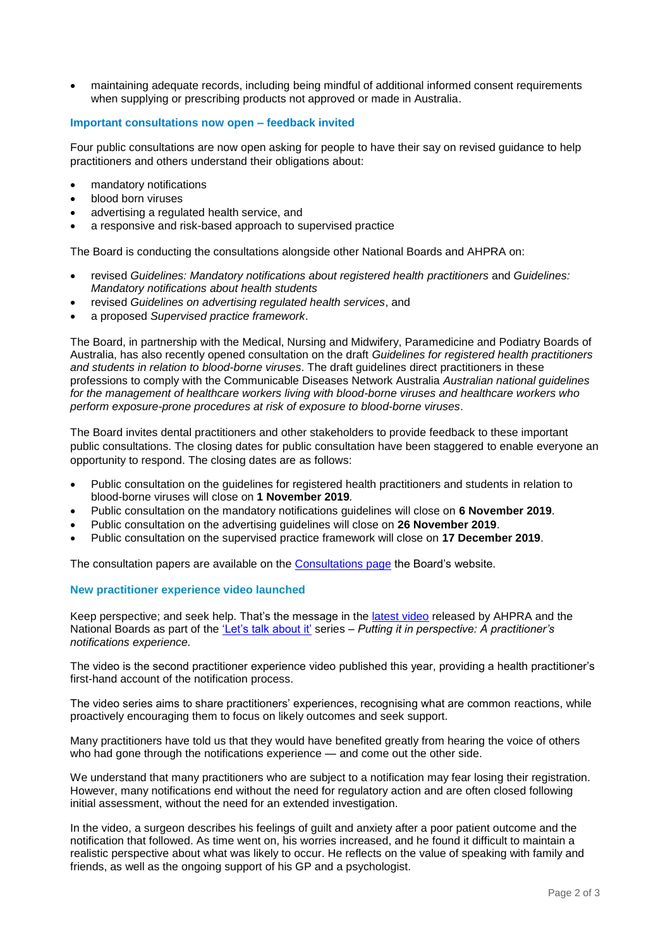• maintaining adequate records, including being mindful of additional informed consent requirements when supplying or prescribing products not approved or made in Australia.

## **Important consultations now open – feedback invited**

Four public consultations are now open asking for people to have their say on revised guidance to help practitioners and others understand their obligations about:

- mandatory notifications
- blood born viruses
- advertising a regulated health service, and
- a responsive and risk-based approach to supervised practice

The Board is conducting the consultations alongside other National Boards and AHPRA on:

- revised *Guidelines: Mandatory notifications about registered health practitioners* and *Guidelines: Mandatory notifications about health students*
- revised *Guidelines on advertising regulated health services*, and
- a proposed *Supervised practice framework*.

The Board, in partnership with the Medical, Nursing and Midwifery, Paramedicine and Podiatry Boards of Australia, has also recently opened consultation on the draft *Guidelines for registered health practitioners and students in relation to blood-borne viruses*. The draft guidelines direct practitioners in these professions to comply with the Communicable Diseases Network Australia *Australian national guidelines for the management of healthcare workers living with blood-borne viruses and healthcare workers who perform exposure-prone procedures at risk of exposure to blood-borne viruses*.

The Board invites dental practitioners and other stakeholders to provide feedback to these important public consultations. The closing dates for public consultation have been staggered to enable everyone an opportunity to respond. The closing dates are as follows:

- Public consultation on the guidelines for registered health practitioners and students in relation to blood-borne viruses will close on **1 November 2019***.*
- Public consultation on the mandatory notifications guidelines will close on **6 November 2019**.
- Public consultation on the advertising guidelines will close on **26 November 2019**.
- Public consultation on the supervised practice framework will close on **17 December 2019**.

The consultation papers are available on the [Consultations page](https://www.dentalboard.gov.au/News/Current-Consultations.aspx) the Board's website.

#### **New practitioner experience video launched**

Keep perspective; and seek help. That's the message in the [latest video](https://www.ahpra.gov.au/News/2019-08-20-practitioner-experience-video-two.aspx) released by AHPRA and the National Boards as part of the ['Let's talk about it'](http://www.ahpra.gov.au/News/2019-03-04-lets-talk-about-it.aspx) series – *Putting it in perspective: A practitioner's notifications experience.* 

The video is the second practitioner experience video published this year, providing a health practitioner's first-hand account of the notification process.

The video series aims to share practitioners' experiences, recognising what are common reactions, while proactively encouraging them to focus on likely outcomes and seek support.

Many practitioners have told us that they would have benefited greatly from hearing the voice of others who had gone through the notifications experience — and come out the other side.

We understand that many practitioners who are subject to a notification may fear losing their registration. However, many notifications end without the need for regulatory action and are often closed following initial assessment, without the need for an extended investigation.

In the video, a surgeon describes his feelings of guilt and anxiety after a poor patient outcome and the notification that followed. As time went on, his worries increased, and he found it difficult to maintain a realistic perspective about what was likely to occur. He reflects on the value of speaking with family and friends, as well as the ongoing support of his GP and a psychologist.